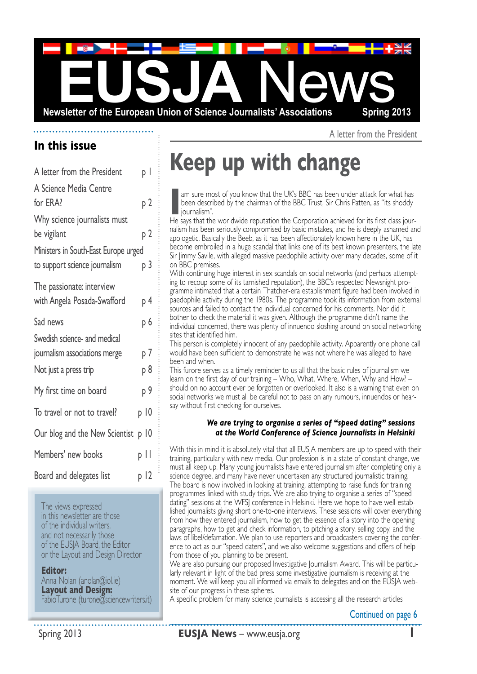

**In this issue**

| A letter from the President                                                            | рI         |
|----------------------------------------------------------------------------------------|------------|
| A Science Media Centre<br>for ERA?                                                     | р 2        |
| Why science journalists must<br>be vigilant<br>Ministers in South-East Europe urged    | р 2        |
| to support science journalism                                                          | р 3        |
| The passionate: interview<br>with Angela Posada-Swafford                               | р 4        |
| Sad news                                                                               | р 6        |
| Swedish science- and medical<br>journalism associations merge<br>Not just a press trip | p 7<br>p 8 |
| My first time on board                                                                 | р 9        |
| To travel or not to travel?                                                            | p 10       |
| Our blog and the New Scientist                                                         | p 10       |
| Members' new books                                                                     | p II       |
| Board and delegates list                                                               | p 12       |

The views expressed in this newsletter are those of the individual writers, and not necessarily those of the EUSJA Board, the Editor or the Layout and Design Director

#### **Editor:**

Anna Nolan (anolan@iol.ie) **Layout and Design:**  FabioTurone (turone@sciencewriters.it) A letter from the President

# **Keep up with change**

**I'm** sure most of you know that the UK's BBC has been under attack for what has been described by the chairman of the BBC Trust, Sir Chris Patten, as "its shoddy journalism".<br>He says that the worldwide reputation the Corp been described by the chairman of the BBC Trust, Sir Chris Patten, as "its shoddy journalism".

He says that the worldwide reputation the Corporation achieved for its first class journalism has been seriously compromised by basic mistakes, and he is deeply ashamed and apologetic. Basically the Beeb, as it has been affectionately known here in the UK, has become embroiled in a huge scandal that links one of its best known presenters, the late Sir Jimmy Savile, with alleged massive paedophile activity over many decades, some of it on BBC premises.

With continuing huge interest in sex scandals on social networks (and perhaps attempt ing to recoup some of its tarnished reputation), the BBC's respected Newsnight programme intimated that a certain Thatcher-era establishment figure had been involved in paedophile activity during the 1980s. The programme took its information from external sources and failed to contact the individual concerned for his comments. Nor did it bother to check the material it was given. Although the programme didn't name the individual concerned, there was plenty of innuendo sloshing around on social networking sites that identified him.

This person is completely innocent of any paedophile activity. Apparently one phone call would have been sufficient to demonstrate he was not where he was alleged to have been and when.

This furore serves as a timely reminder to us all that the basic rules of journalism we learn on the first day of our training – Who, What, Where, When, Why and How? – should on no account ever be forgotten or overlooked. It also is a warning that even on social networks we must all be careful not to pass on any rumours, innuendos or hear say without first checking for ourselves.

#### *We are trying to organise a series of "speed dating" sessions at the World Conference of Science Journalists in Helsinki*

With this in mind it is absolutely vital that all EUSJA members are up to speed with their training, particularly with new media. Our profession is in a state of constant change, we must all keep up. Many young journalists have entered journalism after completing only a science degree, and many have never undertaken any structured journalistic training. The board is now involved in looking at training, attempting to raise funds for training programmes linked with study trips. We are also trying to organise a series of "speed dating" sessions at the WFSJ conference in Helsinki. Here we hope to have well-estab lished journalists giving short one-to-one interviews. These sessions will cover everything from how they entered journalism, how to get the essence of a story into the opening paragraphs, how to get and check information, to pitching a story, selling copy, and the laws of libel/defamation. We plan to use reporters and broadcasters covering the conference to act as our "speed daters", and we also welcome suggestions and offers of help from those of you planning to be present.

We are also pursuing our proposed Investigative Journalism Award. This will be particularly relevant in light of the bad press some investigative journalism is receiving at the moment. We will keep you all informed via emails to delegates and on the EUSJA web site of our progress in these spheres.

A specific problem for many science journalists is accessing all the research articles

Continued on page 6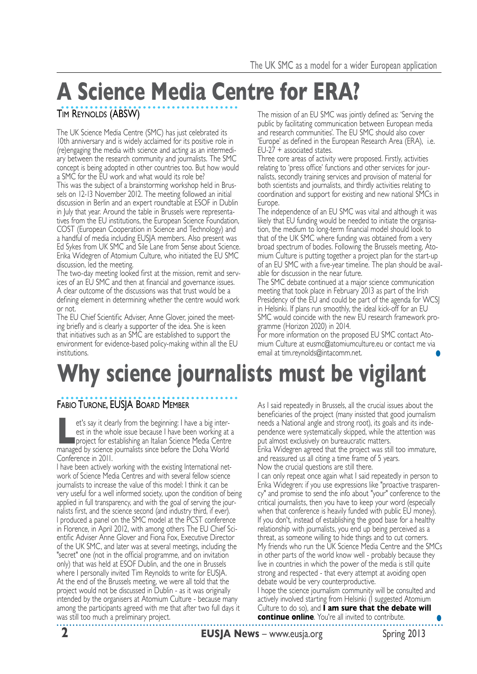# **A Science Media Centre for ERA?**

Tim Reynolds (ABSW)

The UK Science Media Centre (SMC) has just celebrated its 10th anniversary and is widely acclaimed for its positive role in (re)engaging the media with science and acting as an intermedi ary between the research community and journalists. The SMC concept is being adopted in other countries too. But how would a SMC for the EU work and what would its role be?

This was the subject of a brainstorming workshop held in Brus sels on 12-13 November 2012. The meeting followed an initial discussion in Berlin and an expert roundtable at ESOF in Dublin in July that year. Around the table in Brussels were representa tives from the EU institutions, the European Science Foundation, COST (European Cooperation in Science and Technology) and a handful of media including EUSJA members. Also present was Ed Sykes from UK SMC and Sile Lane from Sense about Science. Erika Widegren of Atomium Culture, who initiated the EU SMC discussion, led the meeting.

The two-day meeting looked first at the mission, remit and serv ices of an EU SMC and then at financial and governance issues. A clear outcome of the discussions was that trust would be a defining element in determining whether the centre would work or not.

The EU Chief Scientific Adviser, Anne Glover, joined the meeting briefly and is clearly a supporter of the idea. She is keen that initiatives such as an SMC are established to support the environment for evidence-based policy-making within all the EU institutions.

The mission of an EU SMC was jointly defined as: 'Serving the public by facilitating communication between European media and research communities'. The EU SMC should also cover 'Europe' as defined in the European Research Area (ERA), i.e. EU-27 + associated states.

Three core areas of activity were proposed. Firstly, activities relating to 'press office' functions and other services for jour nalists, secondly training services and provision of material for both scientists and journalists, and thirdly activities relating to coordination and support for existing and new national SMCs in Europe.

The independence of an EU SMC was vital and although it was likely that EU funding would be needed to initiate the organisation, the medium to long-term financial model should look to that of the UK SMC where funding was obtained from a very broad spectrum of bodies. Following the Brussels meeting, Atomium Culture is putting together a project plan for the start-up of an EU SMC with a five-year timeline. The plan should be available for discussion in the near future.

The SMC debate continued at a major science communication meeting that took place in February 2013 as part of the Irish Presidency of the EU and could be part of the agenda for WCSJ in Helsinki. If plans run smoothly, the ideal kick-off for an EU SMC would coincide with the new EU research framework programme (Horizon 2020) in 2014.

For more information on the proposed EU SMC contact Ato mium Culture at eusmc@atomiumculture.eu or contact me via email at tim.reynolds@intacomm.net. **•**

# **Why science journalists must be vigilant**

### Fabio Turone, EUSJA Board Member

**Let's say it clearly from the beginning: I have a big inter-**<br>
est in the whole issue because I have been working at a<br>
project for establishing an Italian Science Media Centre<br>
mapped by science invendicts circa before t est in the whole issue because I have been working at a managed by science journalists since before the Doha World Conference in 2011.

I have been actively working with the existing International net work of Science Media Centres and with several fellow science journalists to increase the value of this model: I think it can be very useful for a well informed society, upon the condition of being applied in full transparency, and with the goal of serving the journalists first, and the science second (and industry third, if ever). I produced a panel on the SMC model at the PCST conference in Florence, in April 2012, with among others The EU Chief Sci entific Adviser Anne Glover and Fiona Fox, Executive Director of the UK SMC, and later was at several meetings, including the "secret" one (not in the official programme, and on invitation only) that was held at ESOF Dublin, and the one in Brussels where I personally invited Tim Reynolds to write for EUSJA. At the end of the Brussels meeting, we were all told that the project would not be discussed in Dublin - as it was originally intended by the organisers at Atomium Culture - because many among the participants agreed with me that after two full days it was still too much a preliminary project.

As I said repeatedly in Brussels, all the crucial issues about the beneficiaries of the project (many insisted that good journalism needs a National angle and strong root), its goals and its inde pendence were systematically skipped, while the attention was put almost exclusively on bureaucratic matters. Erika Widegren agreed that the project was still too immature,

and reassured us all citing a time frame of 5 years.

Now the crucial questions are still there.

I can only repeat once again what I said repeatedly in person to Erika Widegren: if you use expressions like "proactive trasparen cy" and promise to send the info about "your" conference to the critical journalists, then you have to keep your word (especially when that conference is heavily funded with public EU money). If you don't, instead of establishing the good base for a healthy relationship with journalists, you end up being perceived as a threat, as someone willing to hide things and to cut corners. My friends who run the UK Science Media Centre and the SMCs in other parts of the world know well - probably because they live in countries in which the power of the media is still quite strong and respected - that every attempt at avoiding open debate would be very counterproductive.

I hope the science journalism community will be consulted and actively involved starting from Helsinki (I suggested Atomium Culture to do so), and **I am sure that the debate will continue online**. You're all invited to contribute. **•**

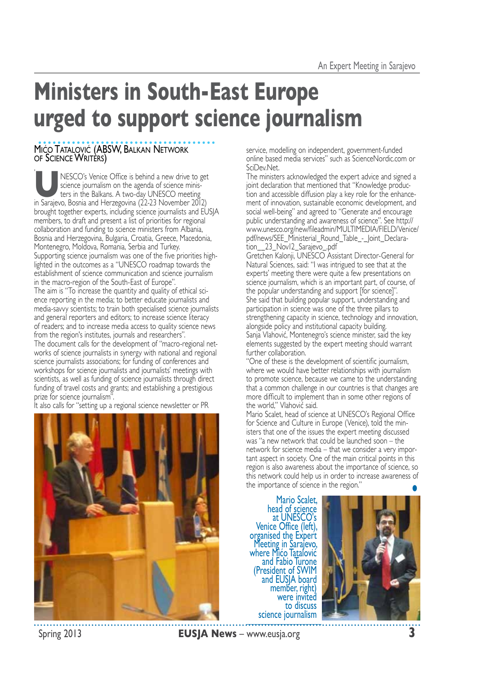## **Ministers in South-East Europe urged to support science journalism**

### Mićo Tatalović (ABSW, Balkan Network of Science Writèrs)

, NESCO's Venice Office is behind a new drive to get<br>science journalism on the agenda of science minis-<br>ters in the Balkans. A two-day UNESCO meeting<br>in Samipun Bosnia and Herzogovina (22.23 Newmber 2012) science journalism on the agenda of science minis ters in the Balkans. A two-day UNESCO meeting in Sarajevo, Bosnia and Herzegovina (22-23 November 2012) brought together experts, including science journalists and EUSJA members, to draft and present a list of priorities for regional collaboration and funding to science ministers from Albania, Bosnia and Herzegovina, Bulgaria, Croatia, Greece, Macedonia, Montenegro, Moldova, Romania, Serbia and Turkey. Supporting science journalism was one of the five priorities high lighted in the outcomes as a "UNESCO roadmap towards the establishment of science communication and science journalism in the macro-region of the South-East of Europe". The aim is "To increase the quantity and quality of ethical science reporting in the media; to better educate journalists and media-savvy scientists; to train both specialised science journalists and general reporters and editors; to increase science literacy of readers; and to increase media access to quality science news from the region's institutes, journals and researchers". The document calls for the development of "macro-regional net works of science journalists in synergy with national and regional science journalists associations; for funding of conferences and workshops for science journalists and journalists' meetings with

scientists, as well as funding of science journalists through direct funding of travel costs and grants; and establishing a prestigious prize for science journalism".

It also calls for "setting up a regional science newsletter or PR



service, modelling on independent, government-funded online based media services" such as ScienceNordic.com or SciDev.Net.

The ministers acknowledged the expert advice and signed a joint declaration that mentioned that "Knowledge production and accessible diffusion play a key role for the enhance ment of innovation, sustainable economic development, and social well-being" and agreed to "Generate and encourage public understanding and awareness of science". See http:// www.unesco.org/new/fileadmin/MULTIMEDIA/FIELD/Venice/ pdf/news/SEE\_Ministerial\_Round\_Table\_-\_Joint\_Declara tion\_\_23\_Nov12\_Sarajevo\_.pdf

Gretchen Kalonji, UNESCO Assistant Director-General for Natural Sciences, said: "I was intrigued to see that at the experts' meeting there were quite a few presentations on science journalism, which is an important part, of course, of the popular understanding and support [for science]". She said that building popular support, understanding and participation in science was one of the three pillars to strengthening capacity in science, technology and innovation, alongside policy and institutional capacity building. Sanja Vlahović, Montenegro's science minister, said the key elements suggested by the expert meeting should warrant further collaboration.

"One of these is the development of scientific journalism, where we would have better relationships with journalism to promote science, because we came to the understanding that a common challenge in our countries is that changes are more difficult to implement than in some other regions of the world," Vlahović said.

Mario Scalet, head of science at UNESCO's Regional Office for Science and Culture in Europe (Venice), told the min isters that one of the issues the expert meeting discussed was "a new network that could be launched soon - the network for science media – that we consider a very important aspect in society. One of the main critical points in this region is also awareness about the importance of science, so this network could help us in order to increase awareness of the importance of science in the region." **•**

Mario Scalet, head of science at UNESCO's Venice Office (left), organised the Expert Meeting in Sarajevo, where Mico Tatalović and Fabio Turone (President of SWIM)<br>and EUSJA board<br>member, right) were invited to discuss science journalism

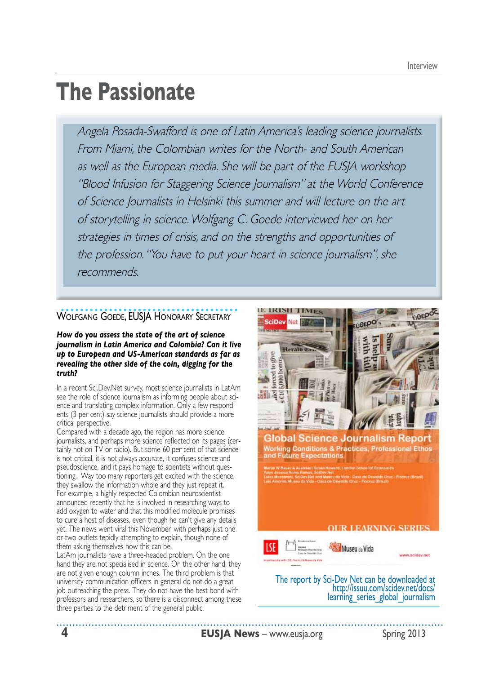## **The Passionate**

Angela Posada-Swafford is one of Latin America's leading science journalists. From Miami, the Colombian writes for the North- and South American as well as the European media. She will be part of the EUSJA workshop "Blood Infusion for Staggering Science Journalism" at the World Conference of Science Journalists in Helsinki this summer and will lecture on the art of storytelling in science. Wolfgang C. Goede interviewed her on her strategies in times of crisis, and on the strengths and opportunities of the profession. "You have to put your heart in science journalism", she recommends.

### WOLFGANG GOEDE, EUSJA HONORARY SECRETARY

*How do you assess the state of the art of science journalism in Latin America and Colombia? Can it live up to European and US-American standards as far as revealing the other side of the coin, digging for the truth?* 

In a recent Sci.Dev.Net survey, most science journalists in LatAm see the role of science journalism as informing people about science and translating complex information. Only a few respond ents (3 per cent) say science journalists should provide a more critical perspective.

Compared with a decade ago, the region has more science journalists, and perhaps more science reflected on its pages (certainly not on TV or radio). But some 60 per cent of that science is not critical, it is not always accurate, it confuses science and pseudoscience, and it pays homage to scientists without questioning. Way too many reporters get excited with the science, they swallow the information whole and they just repeat it. For example, a highly respected Colombian neuroscientist announced recently that he is involved in researching ways to add oxygen to water and that this modified molecule promises to cure a host of diseases, even though he can't give any details yet. The news went viral this November, with perhaps just one or two outlets tepidly attempting to explain, though none of them asking themselves how this can be.

LatAm journalists have a three-headed problem. On the one hand they are not specialised in science. On the other hand, they are not given enough column inches. The third problem is that university communication officers in general do not do a great job outreaching the press. They do not have the best bond with professors and researchers, so there is a disconnect among these three parties to the detriment of the general public.



The report by Sci-Dev Net can be downloaded at http://issuu.com/scidev.net/docs/<br>learning\_series\_global\_journalism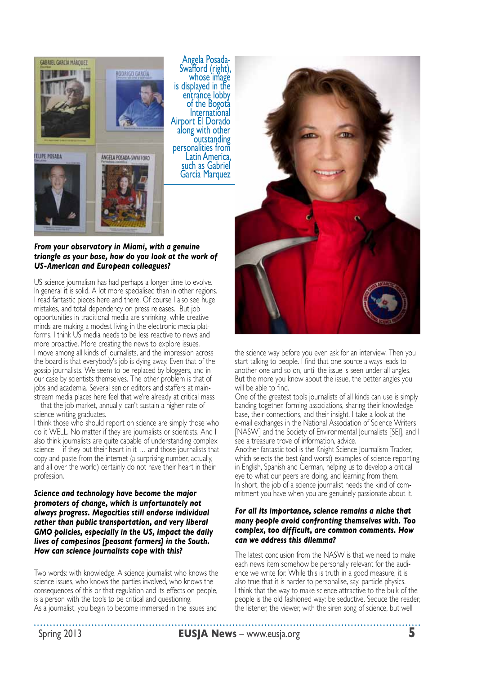

Angela Posada-<br>Swafford (right), whose image<br>is displayed in the<br>entrance lobby of the Bogotà International<br>Airport El Dorado along with other<br>outstanding<br>personalities from<br>Latin America, such as Gabriel Garcia Marquez

#### *From your observatory in Miami, with a genuine triangle as your base, how do you look at the work of US-American and European colleagues?*

US science journalism has had perhaps a longer time to evolve. In general it is solid. A lot more specialised than in other regions. I read fantastic pieces here and there. Of course I also see huge mistakes, and total dependency on press releases. But job opportunities in traditional media are shrinking, while creative minds are making a modest living in the electronic media platforms. I think US media needs to be less reactive to news and more proactive. More creating the news to explore issues. I move among all kinds of journalists, and the impression across the board is that everybody's job is dying away. Even that of the gossip journalists. We seem to be replaced by bloggers, and in our case by scientists themselves. The other problem is that of jobs and academia. Several senior editors and staffers at main stream media places here feel that we're already at critical mass -- that the job market, annually, can't sustain a higher rate of science-writing graduates.

I think those who should report on science are simply those who do it WELL. No matter if they are journalists or scientists. And I also think journalists are quite capable of understanding complex science -- if they put their heart in it … and those journalists that copy and paste from the internet (a surprising number, actually, and all over the world) certainly do not have their heart in their profession.

#### *Science and technology have become the major promoters of change, which is unfortunately not always progress. Megacities still endorse individual rather than public transportation, and very liberal GMO policies, especially in the US, impact the daily lives of campesinos [peasant farmers] in the South. How can science journalists cope with this?*

Two words: with knowledge. A science journalist who knows the science issues, who knows the parties involved, who knows the consequences of this or that regulation and its effects on people, is a person with the tools to be critical and questioning. As a journalist, you begin to become immersed in the issues and



the science way before you even ask for an interview. Then you start talking to people. I find that one source always leads to another one and so on, until the issue is seen under all angles. But the more you know about the issue, the better angles you will be able to find.

One of the greatest tools journalists of all kinds can use is simply banding together, forming associations, sharing their knowledge base, their connections, and their insight. I take a look at the e-mail exchanges in the National Association of Science Writers [NASW] and the Society of Environmental Journalists [SEJ], and I see a treasure trove of information, advice.

Another fantastic tool is the Knight Science Journalism Tracker, which selects the best (and worst) examples of science reporting in English, Spanish and German, helping us to develop a critical eye to what our peers are doing, and learning from them. In short, the job of a science journalist needs the kind of commitment you have when you are genuinely passionate about it.

#### *For all its importance, science remains a niche that many people avoid confronting themselves with. Too complex, too difficult, are common comments. How can we address this dilemma?*

The latest conclusion from the NASW is that we need to make each news item somehow be personally relevant for the audience we write for. While this is truth in a good measure, it is also true that it is harder to personalise, say, particle physics. I think that the way to make science attractive to the bulk of the people is the old fashioned way: be seductive. Seduce the reader, the listener, the viewer, with the siren song of science, but well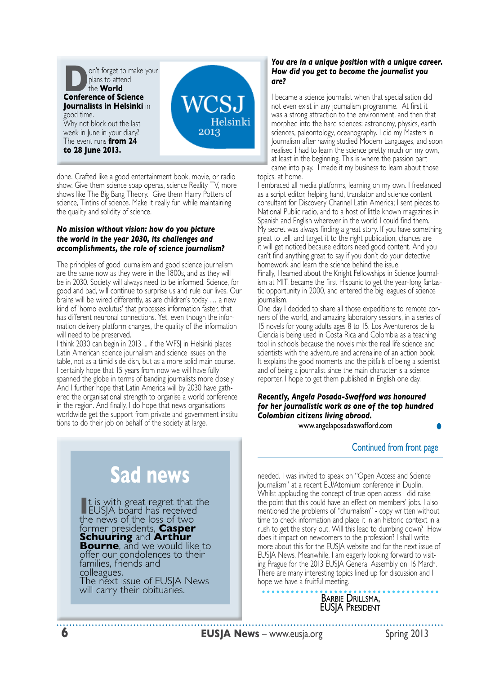

done. Crafted like a good entertainment book, movie, or radio show. Give them science soap operas, science Reality TV, more shows like The Big Bang Theory. Give them Harry Potters of science, Tintins of science. Make it really fun while maintaining the quality and solidity of science.

#### *No mission without vision: how do you picture the world in the year 2030, its challenges and accomplishments, the role of science journalism?*

The principles of good journalism and good science journalism are the same now as they were in the 1800s, and as they will be in 2030. Society will always need to be informed. Science, for good and bad, will continue to surprise us and rule our lives. Our brains will be wired differently, as are children's today … a new kind of 'homo evolutus' that processes information faster, that has different neuronal connections. Yet, even though the infor mation delivery platform changes, the quality of the information will need to be preserved.

I think 2030 can begin in 2013 ... if the WFSJ in Helsinki places Latin American science journalism and science issues on the table, not as a timid side dish, but as a more solid main course. I certainly hope that 15 years from now we will have fully spanned the globe in terms of banding journalists more closely. And I further hope that Latin America will by 2030 have gath ered the organisational strength to organise a world conference in the region. And finally, I do hope that news organisations worldwide get the support from private and government institu tions to do their job on behalf of the society at large. **•**

#### *You are in a unique position with a unique career. How did you get to become the journalist you are?*

I became a science journalist when that specialisation did not even exist in any journalism programme. At first it was a strong attraction to the environment, and then that morphed into the hard sciences: astronomy, physics, earth sciences, paleontology, oceanography. I did my Masters in Journalism after having studied Modern Languages, and soon realised I had to learn the science pretty much on my own, at least in the beginning. This is where the passion part came into play. I made it my business to learn about those topics, at home.

I embraced all media platforms, learning on my own. I freelanced as a script editor, helping hand, translator and science content consultant for Discovery Channel Latin America; I sent pieces to National Public radio, and to a host of little known magazines in Spanish and English wherever in the world I could find them. My secret was always finding a great story. If you have something great to tell, and target it to the right publication, chances are it will get noticed because editors need good content. And you can't find anything great to say if you don't do your detective homework and learn the science behind the issue. Finally, I learned about the Knight Fellowships in Science Journal ism at MIT, became the first Hispanic to get the year-long fantastic opportunity in 2000, and entered the big leagues of science journalism.

One day I decided to share all those expeditions to remote corners of the world, and amazing laboratory sessions, in a series of 15 novels for young adults ages 8 to 15. Los Aventureros de la Ciencia is being used in Costa Rica and Colombia as a teaching tool in schools because the novels mix the real life science and scientists with the adventure and adrenaline of an action book. It explains the good moments and the pitfalls of being a scientist and of being a journalist since the main character is a science reporter. I hope to get them published in English one day.

#### *Recently, Angela Posada-Swafford was honoured for her journalistic work as one of the top hundred Colombian citizens living abroad.*

www.angelaposadaswafford.com

### Continued from front page

needed. I was invited to speak on "Open Access and Science Journalism" at a recent EU/Atomium conference in Dublin. Whilst applauding the concept of true open access I did raise the point that this could have an effect on members' jobs. I also mentioned the problems of "churnalism" - copy written without time to check information and place it in an historic context in a rush to get the story out. Will this lead to dumbing down? How does it impact on newcomers to the profession? I shall write more about this for the EUSJA website and for the next issue of EUSJA News. Meanwhile, I am eagerly looking forward to visit ing Prague for the 2013 EUSIA General Assembly on 16 March. There are many interesting topics lined up for discussion and I hope we have a fruitful meeting.

### Barbie Drillsma,<br>EUSJA President

### **6 EUSJA News** – www.eusja.org **Spring 2013**

**Sad news**

It is with great regret that the<br>EUSJA board has received EUSJA board has received<br>the news of the loss of two former presidents, **Casper**<br>**Schuuring** and **Arthur Bourne**, and we would like to offer our condolences to their families, friends and colleagues. The next issue of EUSJA News will carry their obituaries.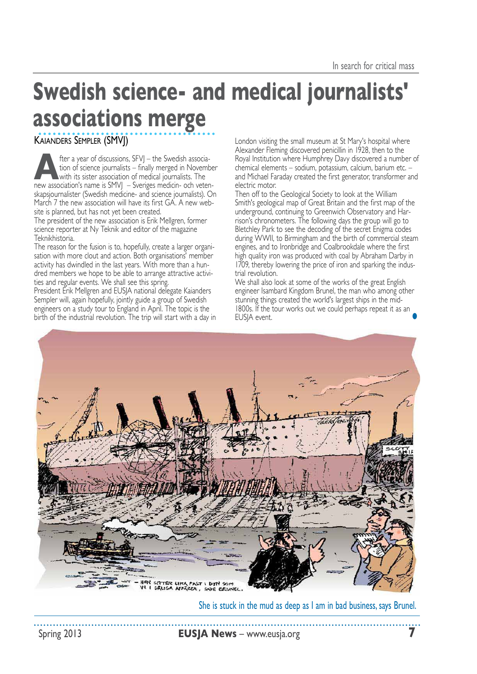## **Swedish science- and medical journalists' associations merge**

Kaianders Sempler (SMVJ)

**A**fter a year of discussions, SFVJ – the Swedish associa- tion of science journalists – finally merged in November with its sister association of medical journalists. The new association's name is SMVJ – Sveriges medicin- och veten skapsjournalister (Swedish medicine- and science journalists). On March 7 the new association will have its first GA. A new website is planned, but has not yet been created.

The president of the new association is Erik Mellgren, former science reporter at Ny Teknik and editor of the magazine Teknikhistoria.

The reason for the fusion is to, hopefully, create a larger organi sation with more clout and action. Both organisations' member activity has dwindled in the last years. With more than a hundred members we hope to be able to arrange attractive activi ties and regular events. We shall see this spring.

President Erik Mellgren and EUSJA national delegate Kaianders Sempler will, again hopefully, jointly guide a group of Swedish engineers on a study tour to England in April. The topic is the birth of the industrial revolution. The trip will start with a day in

London visiting the small museum at St Mary's hospital where Alexander Fleming discovered penicillin in 1928, then to the Royal Institution where Humphrey Davy discovered a number of chemical elements – sodium, potassium, calcium, barium etc. – and Michael Faraday created the first generator, transformer and electric motor.

Then off to the Geological Society to look at the William Smith's geological map of Great Britain and the first map of the underground, continuing to Greenwich Observatory and Har rison's chronometers. The following days the group will go to Bletchley Park to see the decoding of the secret Enigma codes during WWII, to Birmingham and the birth of commercial steam engines, and to Ironbridge and Coalbrookdale where the first high quality iron was produced with coal by Abraham Darby in 1709, thereby lowering the price of iron and sparking the indus trial revolution.

**•** We shall also look at some of the works of the great English engineer Isambard Kingdom Brunel, the man who among other stunning things created the world's largest ships in the mid-1800s. If the tour works out we could perhaps repeat it as an EUSJA event.



She is stuck in the mud as deep as I am in bad business, says Brunel.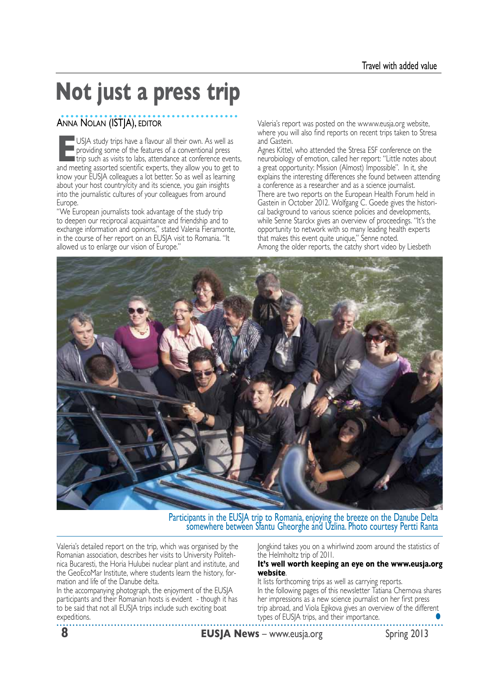# **Not just a press trip**

### ANNA NOLAN (ISTJA), EDITOR

USJA study trips have a flavour all their own. As well as<br>
providing some of the features of a conventional press<br>
trip such as visits to labs, attendance at conference events,<br>
and mosting accorted crionific exports, they  $\blacksquare$  providing some of the features of a conventional press and meeting assorted scientific experts, they allow you to get to know your EUSJA colleagues a lot better. So as well as learning about your host country/city and its science, you gain insights into the journalistic cultures of your colleagues from around Europe.

"We European journalists took advantage of the study trip to deepen our reciprocal acquaintance and friendship and to exchange information and opinions," stated Valeria Fieramonte, in the course of her report on an EUSJA visit to Romania. "It allowed us to enlarge our vision of Europe."

Valeria's report was posted on the wwww.eusja.org website, where you will also find reports on recent trips taken to Stresa and Gastein.

Agnes Kittel, who attended the Stresa ESF conference on the neurobiology of emotion, called her report: "Little notes about a great opportunity: Mission (Almost) Impossible". In it, she explains the interesting differences she found between attending a conference as a researcher and as a science journalist. There are two reports on the European Health Forum held in Gastein in October 2012. Wolfgang C. Goede gives the historical background to various science policies and developments, while Senne Starckx gives an overview of proceedings. "It's the opportunity to network with so many leading health experts that makes this event quite unique," Senne noted. Among the older reports, the catchy short video by Liesbeth



Participants in the EUSJA trip to Romania, enjoying the breeze on the Danube Delta somewhere between Sfantu Gheorghe and Uzlina. Photo courtesy Pertti Ranta

Valeria's detailed report on the trip, which was organised by the Romanian association, describes her visits to University Politehnica Bucaresti, the Horia Hulubei nuclear plant and institute, and the GeoEcoMar Institute, where students learn the history, formation and life of the Danube delta.

In the accompanying photograph, the enjoyment of the EUSJA participants and their Romanian hosts is evident - though it has to be said that not all EUSJA trips include such exciting boat expeditions.

Jongkind takes you on a whirlwind zoom around the statistics of the Helmholtz trip of 2011.

#### **It's well worth keeping an eye on the www.eusja.org website**.

It lists forthcoming trips as well as carrying reports. In the following pages of this newsletter Tatiana Chernova shares her impressions as a new science journalist on her first press trip abroad, and Viola Egikova gives an overview of the different types of EUSJA trips, and their importance. **•**

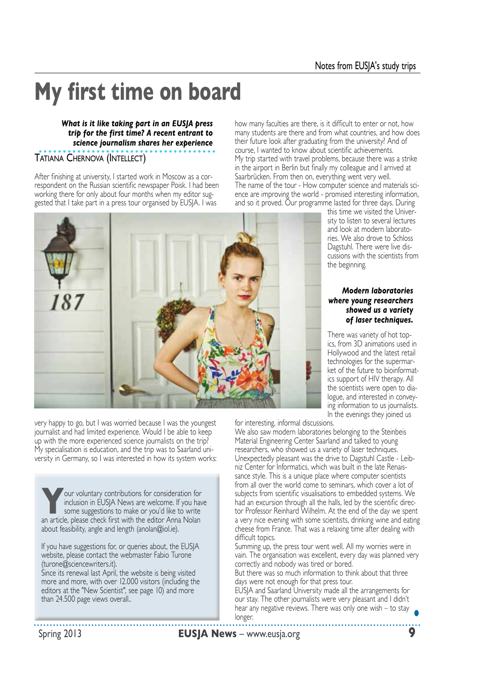# **My first time on board**

### *What is it like taking part in an EUSJA press trip for the first time? A recent entrant to science journalism shares her experience*

Tatiana Chernova (Intellect)

After finishing at university, I started work in Moscow as a correspondent on the Russian scientific newspaper Poisk. I had been working there for only about four months when my editor sug gested that I take part in a press tour organised by EUSJA. I was

very happy to go, but I was worried because I was the youngest journalist and had limited experience. Would I be able to keep up with the more experienced science journalists on the trip? My specialisation is education, and the trip was to Saarland university in Germany, so I was interested in how its system works:

**Your voluntary contributions for consideration for inclusion in EUSJA News are welcome. If you have some suggestions to make or you'd like to write** inclusion in EUSJA News are welcome. If you have an article, please check first with the editor Anna Nolan about feasibility, angle and length (anolan@iol.ie).

If you have suggestions for, or queries about, the EUSJA website, please contact the webmaster Fabio Turone (turone@sciencewriters.it).

Since its renewal last April, the website is being visited more and more, with over 12.000 visitors (including the editors at the "New Scientist", see page 10) and more than 24.500 page views overall..

how many faculties are there, is it difficult to enter or not, how many students are there and from what countries, and how does their future look after graduating from the university? And of course, I wanted to know about scientific achievements. My trip started with travel problems, because there was a strike in the airport in Berlin but finally my colleague and I arrived at Saarbrücken. From then on, everything went very well. The name of the tour - How computer science and materials sci ence are improving the world - promised interesting information, and so it proved. Our programme lasted for three days. During

this time we visited the Univer sity to listen to several lectures and look at modern laborato ries. We also drove to Schloss Dagstuhl. There were live discussions with the scientists from the beginning.

#### *Modern laboratories where young researchers showed us a variety of laser techniques.*

There was variety of hot top ics, from 3D animations used in Hollywood and the latest retail technologies for the supermar ket of the future to bioinformat ics support of HIV therapy. All the scientists were open to dia logue, and interested in conveying information to us journalists. In the evenings they joined us

for interesting, informal discussions.

We also saw modern laboratories belonging to the Steinbeis Material Engineering Center Saarland and talked to young researchers, who showed us a variety of laser techniques. Unexpectedly pleasant was the drive to Dagstuhl Castle - Leib niz Center for Informatics, which was built in the late Renais sance style. This is a unique place where computer scientists from all over the world come to seminars, which cover a lot of subjects from scientific visualisations to embedded systems. We had an excursion through all the halls, led by the scientific direc tor Professor Reinhard Wilhelm. At the end of the day we spent a very nice evening with some scientists, drinking wine and eating cheese from France. That was a relaxing time after dealing with difficult topics.

Summing up, the press tour went well. All my worries were in vain. The organisation was excellent, every day was planned very correctly and nobody was tired or bored.

But there was so much information to think about that three days were not enough for that press tour.

EUSJA and Saarland University made all the arrangements for our stay. The other journalists were very pleasant and I didn't hear any negative reviews. There was only one wish – to stay longer. **•**

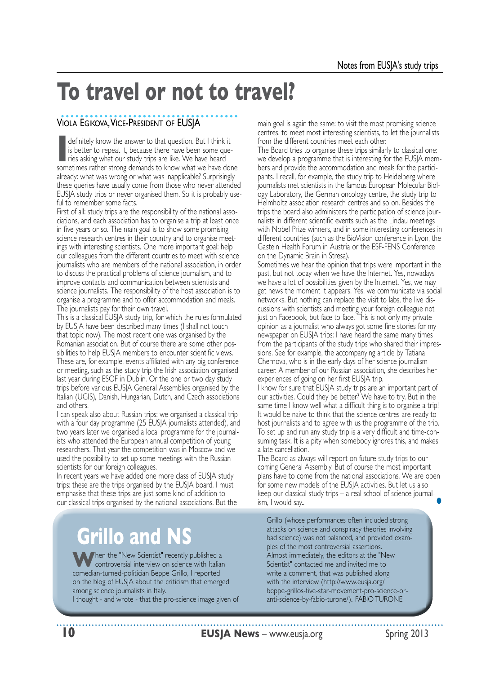### **To travel or not to travel?**

### Viola Egikova, Vice-President of EUSJA

**I** definitely know the answer to that question. But I think it is better to repeat it, because there have been some queries asking what our study trips are like. We have heard is better to repeat it, because there have been some que sometimes rather strong demands to know what we have done already: what was wrong or what was inapplicable? Surprisingly these queries have usually come from those who never attended EUSJA study trips or never organised them. So it is probably use ful to remember some facts.

First of all: study trips are the responsibility of the national asso ciations, and each association has to organise a trip at least once in five years or so. The main goal is to show some promising science research centres in their country and to organise meetings with interesting scientists. One more important goal: help our colleagues from the different countries to meet with science journalists who are members of the national association, in order to discuss the practical problems of science journalism, and to improve contacts and communication between scientists and science journalists. The responsibility of the host association is to organise a programme and to offer accommodation and meals. The journalists pay for their own travel.

This is a classical EUSJA study trip, for which the rules formulated by EUSJA have been described many times (I shall not touch that topic now). The most recent one was organised by the Romanian association. But of course there are some other pos sibilities to help EUSJA members to encounter scientific views. These are, for example, events affiliated with any big conference or meeting, such as the study trip the Irish association organised last year during ESOF in Dublin. Or the one or two day study trips before various EUSJA General Assemblies organised by the Italian (UGIS), Danish, Hungarian, Dutch, and Czech associations and others.

I can speak also about Russian trips: we organised a classical trip with a four day programme (25 EUSJA journalists attended), and two years later we organised a local programme for the journal ists who attended the European annual competition of young researchers. That year the competition was in Moscow and we used the possibility to set up some meetings with the Russian scientists for our foreign colleagues.

In recent years we have added one more class of EUSJA study trips: these are the trips organised by the EUSJA board. I must emphasise that these trips are just some kind of addition to our classical trips organised by the national associations. But the

### **Grillo and NS**

**W**hen the "New Scientist" recently published a controversial interview on science with Italian comedian-turned-politician Beppe Grillo, I reported on the blog of EUSJA about the criticism that emerged among science journalists in Italy.

I thought - and wrote - that the pro-science image given of

main goal is again the same: to visit the most promising science centres, to meet most interesting scientists, to let the journalists from the different countries meet each other.

The Board tries to organise these trips similarly to classical one: we develop a programme that is interesting for the EUSJA mem bers and provide the accommodation and meals for the participants. I recall, for example, the study trip to Heidelberg where journalists met scientists in the famous European Molecular Biol ogy Laboratory, the German oncology centre, the study trip to Helmholtz association research centres and so on. Besides the trips the board also administers the participation of science journalists in different scientific events such as the Lindau meetings with Nobel Prize winners, and in some interesting conferences in different countries (such as the BioVision conference in Lyon, the Gastein Health Forum in Austria or the ESF-FENS Conference on the Dynamic Brain in Stresa).

Sometimes we hear the opinion that trips were important in the past, but not today when we have the Internet. Yes, nowadays we have a lot of possibilities given by the Internet. Yes, we may get news the moment it appears. Yes, we communicate via social networks. But nothing can replace the visit to labs, the live discussions with scientists and meeting your foreign colleague not just on Facebook, but face to face. This is not only my private opinion as a journalist who always got some fine stories for my newspaper on EUSJA trips: I have heard the same many times from the participants of the study trips who shared their impressions. See for example, the accompanying article by Tatiana Chernova, who is in the early days of her science journalism career. A member of our Russian association, she describes her experiences of going on her first EUSJA trip.

I know for sure that EUSJA study trips are an important part of our activities. Could they be better? We have to try. But in the same time I know well what a difficult thing is to organise a trip! It would be naive to think that the science centres are ready to host journalists and to agree with us the programme of the trip. To set up and run any study trip is a very difficult and time-consuming task. It is a pity when somebody ignores this, and makes a late cancellation.

The Board as always will report on future study trips to our coming General Assembly. But of course the most important plans have to come from the national associations. We are open for some new models of the EUSJA activities. But let us also keep our classical study trips – a real school of science journal ism, I would say.. **•**

Grillo (whose performances often included strong attacks on science and conspiracy theories involving bad science) was not balanced, and provided examples of the most controversial assertions. Almost immediately, the editors at the "New Scientist" contacted me and invited me to write a comment, that was published along with the interview (http://www.eusja.org/ beppe-grillos-five-star-movement-pro-science-oranti-science-by-fabio-turone/). FABIO TURONE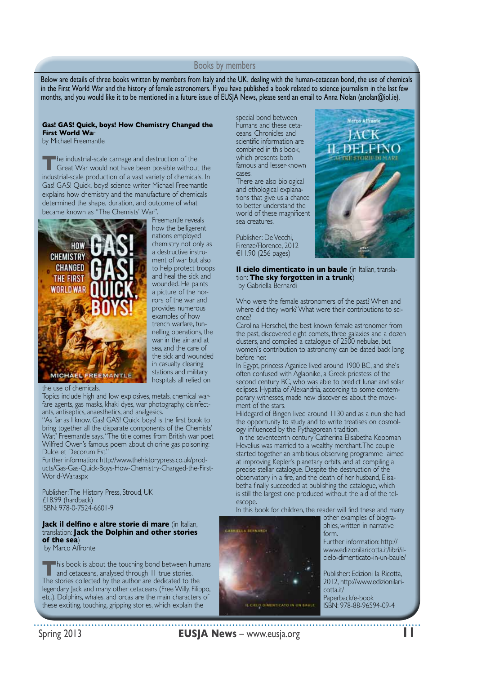#### Books by members

Below are details of three books written by members from Italy and the UK, dealing with the human-cetacean bond, the use of chemicals in the First World War and the history of female astronomers. If you have published a book related to science journalism in the last few months, and you would like it to be mentioned in a future issue of EUSJA News, please send an email to Anna Nolan (anolan@iol.ie).

#### **Gas! GAS! Quick, boys! How Chemistry Changed the First World Wa**r

by Michael Freemantle

**The industrial-scale carnage and destruction of the Great War would not have been possible without the** industrial-scale production of a vast variety of chemicals. In Gas! GAS! Quick, boys! science writer Michael Freemantle explains how chemistry and the manufacture of chemicals determined the shape, duration, and outcome of what became known as "The Chemists' War".



Freemantle reveals how the belligerent nations employed chemistry not only as a destructive instrument of war but also to help protect troops and heal the sick and wounded. He paints a picture of the horrors of the war and provides numerous examples of how trench warfare, tunnelling operations, the war in the air and at sea, and the care of the sick and wounded in casualty clearing stations and military hospitals all relied on

the use of chemicals.

Topics include high and low explosives, metals, chemical warfare agents, gas masks, khaki dyes, war photography, disinfectants, antiseptics, anaesthetics, and analgesics.

"As far as I know, Gas! GAS! Quick, boys! is the first book to bring together all the disparate components of the Chemists' War," Freemantle says. "The title comes from British war poet Wilfred Owen's famous poem about chlorine gas poisoning: Dulce et Decorum Est."

Further information: http://www.thehistorypress.co.uk/products/Gas-Gas-Quick-Boys-How-Chemistry-Changed-the-First-World-War.aspx

Publisher: The History Press, Stroud, UK £18.99 (hardback) ISBN: 978-0-7524-6601-9

#### **Jack il delfino e altre storie di mare** (in Italian, translation: **Jack the Dolphin and other stories of the sea**)

by Marco Affronte

**This book is about the touching bond between humans**<br>and cetaceans, analysed through 11 true stories. The stories collected by the author are dedicated to the legendary Jack and many other cetaceans (Free Willy, Filippo, etc.). Dolphins, whales, and orcas are the main characters of these exciting, touching, gripping stories, which explain the

special bond between humans and these cetaceans. Chronicles and scientific information are combined in this book, which presents both famous and lesser-known cases.

There are also biological and ethological explanations that give us a chance to better understand the world of these magnificent sea creatures.

Publisher: De Vecchi, Firenze/Florence, 2012 €11.90 (256 pages)



**Il cielo dimenticato in un baule** (in Italian, translation: **The sky forgotten in a trunk**) by Gabriella Bernardi

Who were the female astronomers of the past? When and where did they work? What were their contributions to science?

Carolina Herschel, the best known female astronomer from the past, discovered eight comets, three galaxies and a dozen clusters, and compiled a catalogue of 2500 nebulae, but women's contribution to astronomy can be dated back long before her.

In Egypt, princess Aganice lived around 1900 BC, and she's often confused with Aglaonike, a Greek priestess of the second century BC, who was able to predict lunar and solar eclipses. Hypatia of Alexandria, according to some contemporary witnesses, made new discoveries about the movement of the stars.

Hildegard of Bingen lived around 1130 and as a nun she had the opportunity to study and to write treatises on cosmology influenced by the Pythagorean tradition.

 In the seventeenth century Catherina Elisabetha Koopman Hevelius was married to a wealthy merchant. The couple started together an ambitious observing programme aimed at improving Kepler's planetary orbits, and at compiling a precise stellar catalogue. Despite the destruction of the observatory in a fire, and the death of her husband, Elisabetha finally succeeded at publishing the catalogue, which is still the largest one produced without the aid of the telescope.

In this book for children, the reader will find these and many



phies, written in narrative form. Further information: http:// www.edizionilaricotta.it/libri/il-

other examples of biogra-

cielo-dimenticato-in-un-baule/ Publisher: Edizioni la Ricotta, 2012, http://www.edizionilaricotta.it/

Paperback/e-book ISBN: 978-88-96594-09-4